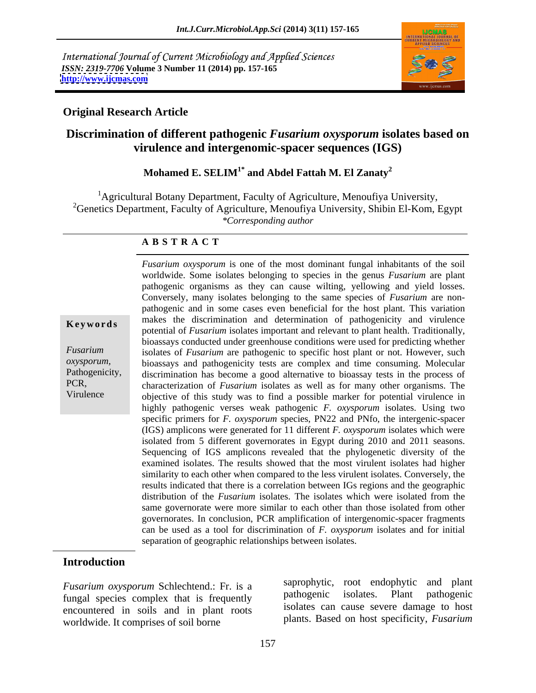International Journal of Current Microbiology and Applied Sciences *ISSN: 2319-7706* **Volume 3 Number 11 (2014) pp. 157-165 <http://www.ijcmas.com>**



### **Original Research Article**

## **Discrimination of different pathogenic** *Fusarium oxysporum* **isolates based on virulence and intergenomic-spacer sequences (IGS)**

## **Mohamed E. SELIM1\* and Abdel Fattah M. El Zanaty<sup>2</sup>**

<sup>1</sup>Agricultural Botany Department, Faculty of Agriculture, Menoufiya University, <sup>2</sup>Genetics Department, Faculty of Agriculture, Menoufiya University, Shibin El-Kom, Egypt *\*Corresponding author* 

### **A B S T R A C T**

**Keywords** have the discrimination and determination of pathogenicity and virtuence potential of *Fusarium* isolates important and relevant to plant health. Traditionally, *Fusarium*  isolates of *Fusarium* are pathogenic to specific host plant or not. However, such *oxysporum,*  bioassays and pathogenicity tests are complex and time consuming. Molecular Pathogenicity, discrimination has become a good alternative to bioassay tests in the process of PCR, characterization of *Fusarium* isolates as well as for many other organisms. The Virulence objective of this study was to find a possible marker for potential virulence in *Fusarium oxysporum* is one of the most dominant fungal inhabitants of the soil worldwide. Some isolates belonging to species in the genus *Fusarium* are plant pathogenic organisms as they can cause wilting, yellowing and yield losses. Conversely, many isolates belonging to the same species of *Fusarium* are non pathogenic and in some cases even beneficial for the host plant. This variation makes the discrimination and determination of pathogenicity and virulence bioassays conducted under greenhouse conditions were used for predicting whether highly pathogenic verses weak pathogenic *F. oxysporum* isolates. Using two specific primers for *F. oxysporum* species, PN22 and PNfo, the intergenic-spacer (IGS) amplicons were generated for 11 different *F. oxysporum* isolates which were isolated from 5 different governorates in Egypt during 2010 and 2011 seasons. Sequencing of IGS amplicons revealed that the phylogenetic diversity of the examined isolates. The results showed that the most virulent isolates had higher similarity to each other when compared to the less virulent isolates. Conversely, the results indicated that there is a correlation between IGs regions and the geographic distribution of the *Fusarium* isolates. The isolates which were isolated from the same governorate were more similar to each other than those isolated from other governorates. In conclusion, PCR amplification of intergenomic-spacer fragments can be used as a tool for discrimination of *F. oxysporum* isolates and for initial separation of geographic relationships between isolates.

### **Introduction**

fungal species complex that is frequently encountered in soils and in plant roots worldwide. It comprises of soil borne

*Fusarium oxysporum* Schlechtend.: Fr. is a saprophylic, root endophylic and plant<br>funcal enocies complex that is frequently pathogenic isolates. Plant pathogenic saprophytic, root endophytic and plant pathogenic isolates. Plant pathogenic isolates can cause severe damage to host plants. Based on host specificity, *Fusarium*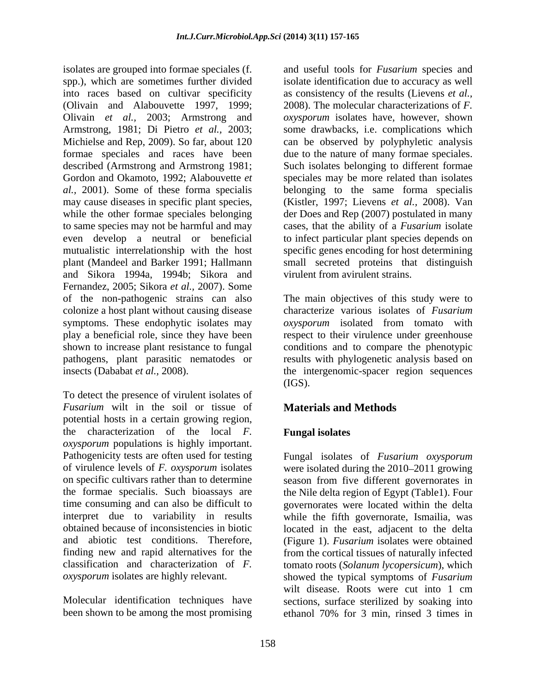isolates are grouped into formae speciales (f. and useful tools for *Fusarium* species and spp.), which are sometimes further divided isolate identification due to accuracy as well into races based on cultivar specificity as consistency of the results (Lievens *et al.,* (Olivain and Alabouvette 1997, 1999; 2008). The molecular characterizations of *F.*  Olivain *et al.,* 2003; Armstrong and Armstrong, 1981; Di Pietro *et al.,* 2003; Michielse and Rep, 2009). So far, about 120 formae speciales and races have been due to the nature of many formae speciales. described (Armstrong and Armstrong 1981; Such isolates belonging to different formae Gordon and Okamoto, 1992; Alabouvette *et* speciales may be more related than isolates *al.,* 2001). Some of these forma specialis belonging to the same forma specialis may cause diseases in specific plant species, while the other formae speciales belonging to same species may not be harmful and may cases, that the ability of a *Fusarium* isolate even develop a neutral or beneficial to infect particular plant species depends on mutualistic interrelationship with the host specific genes encoding for host determining plant (Mandeel and Barker 1991; Hallmann small secreted proteins that distinguish and Sikora 1994a, 1994b; Sikora and Fernandez, 2005; Sikora *et al.,* 2007). Some of the non-pathogenic strains can also The main objectives of this study were to colonize a host plant without causing disease symptoms. These endophytic isolates may *oxysporum* isolated from tomato with play a beneficial role, since they have been respect to their virulence under greenhouse shown to increase plant resistance to fungal conditions and to compare the phenotypic pathogens, plant parasitic nematodes or results with phylogenetic analysis based on insects (Dababat *et al.,* 2008). the intergenomic-spacer region sequences

To detect the presence of virulent isolates of *Fusarium* wilt in the soil or tissue of potential hosts in a certain growing region, the characterization of the local *F. oxysporum* populations is highly important.

been shown to be among the most promising ethanol 70% for 3 min. rinsed 3 times in

*oxysporum* isolates have, however, shown some drawbacks, i.e. complications which can be observed by polyphyletic analysis (Kistler, 1997; Lievens *et al.,* 2008). Van der Does and Rep (2007) postulated in many virulent from avirulent strains.

characterize various isolates of *Fusarium* (IGS).

# **Materials and Methods**

## **Fungal isolates**

Pathogenicity tests are often used for testing Fungal isolates of *Fusarium oxysporum* of virulence levels of *F. oxysporum* isolates were isolated during the 2010–2011 growing on specific cultivars rather than to determine season from five different governorates in the formae specialis. Such bioassays are the Nile delta region of Egypt (Table1). Four time consuming and can also be difficult to governorates were located within the delta interpret due to variability in results while the fifth governorate, Ismailia, was obtained because of inconsistencies in biotic located in the east, adjacent to the delta and abiotic test conditions. Therefore, (Figure 1). *Fusarium* isolates were obtained finding new and rapid alternatives for the from the cortical tissues of naturally infected classification and characterization of *F.*  tomato roots (*Solanum lycopersicum*), which *oxysporum* isolates are highly relevant. showed the typical symptoms of *Fusarium* Molecular identification techniques have sections, surface sterilized by soaking into wilt disease. Roots were cut into 1 cm ethanol 70% for 3 min, rinsed 3 times in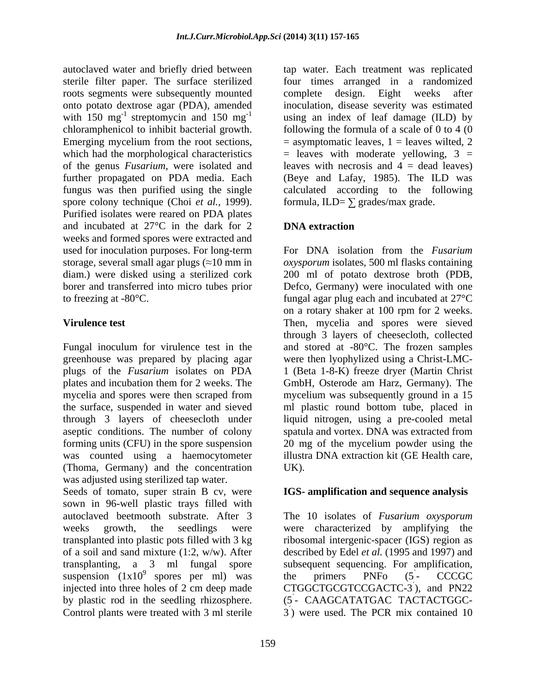roots segments were subsequently mounted of the genus *Fusarium,* were isolated and further propagated on PDA media. Each spore colony technique (Choi *et al.,* 1999). Purified isolates were reared on PDA plates and incubated at 27<sup>°</sup>C in the dark for 2 **DNA extraction** weeks and formed spores were extracted and

greenhouse was prepared by placing agar were then lyophylized using a Christ-LMCplugs of the *Fusarium* isolates on PDA (Thoma, Germany) and the concentration was adjusted using sterilized tap water.

Seeds of tomato, super strain B cv, were **IGS- amplification and sequence analysis** sown in 96-well plastic trays filled with transplanted into plastic pots filled with 3 kg of a soil and sand mixture (1:2, w/w). After

autoclaved water and briefly dried between tap water. Each treatment was replicated sterile filter paper. The surface sterilized four times arranged in a randomized onto potato dextrose agar (PDA), amended inoculation, disease severity was estimated with  $150 \text{ mg}^{-1}$  streptomycin and  $150 \text{ mg}^{-1}$  using an index of leaf damage (ILD) by chloramphenicol to inhibit bacterial growth. following the formula of a scale of 0 to 4 (0 Emerging mycelium from the root sections,  $=$  asymptomatic leaves,  $1 =$  leaves wilted,  $2$ which had the morphological characteristics  $=$  leaves with moderate yellowing, 3 = fungus was then purified using the single calculated according to the following complete design. Eight weeks after leaves with necrosis and  $4 =$  dead leaves) (Beye and Lafay, 1985). The ILD was formula, ILD=  $\Sigma$  grades/max grade.

# **DNA extraction**

used for inoculation purposes. For long-term For DNA isolation from the *Fusarium* storage, several small agar plugs ( 10 mm in *oxysporum* isolates, 500 ml flasks containing diam.) were disked using a sterilized cork 200 ml of potato dextrose broth (PDB, borer and transferred into micro tubes prior Defco, Germany) were inoculated with one to freezing at -80°C. fungal agar plug each and incubated at 27°C **Virulence test** Then, mycelia and spores were sieved Fungal inoculum for virulence test in the and stored at -80°C. The frozen samples plates and incubation them for 2 weeks. The GmbH, Osterode am Harz, Germany). The mycelia and spores were then scraped from mycelium was subsequently ground in a 15 the surface, suspended in water and sieved ml plastic round bottom tube, placed in through 3 layers of cheesecloth under liquid nitrogen, using a pre-cooled metal aseptic conditions. The number of colony spatula and vortex. DNA was extracted from forming units (CFU) in the spore suspension 20 mg of the mycelium powder using the was counted using a haemocytometer illustra DNA extraction kit (GE Health care, on a rotary shaker at 100 rpm for 2 weeks. through 3 layers of cheesecloth, collected were then lyophylized using <sup>a</sup> Christ-LMC-1 (Beta 1-8-K) freeze dryer (Martin Christ mycelium was subsequently ground in a 15 UK).

autoclaved beetmooth substrate. After 3 The 10 isolates of *Fusarium oxysporum* weeks growth, the seedlings were were characterized by amplifying the transplanting, a 3 ml fungal spore subsequent sequencing. For amplification, suspension  $(1x10^9)$  spores per ml) was the primers PNFo  $(5 - CCCGC)$ injected into three holes of 2 cm deep made CTGGCTGCGTCCGACTC-3), and PN22 by plastic rod in the seedling rhizosphere. (5 - CAAGCATATGAC TACTACTGGC-Control plants were treated with 3 ml sterile  $\qquad$  3) were used. The PCR mix contained 10 ribosomal intergenic-spacer (IGS) region as described by Edel *et al.* (1995 and 1997) and the primers PNFo (5  $\sum_{i=1}^{n} C C C C$ - CCCGC  $\lambda$  and DN22 ), and PN22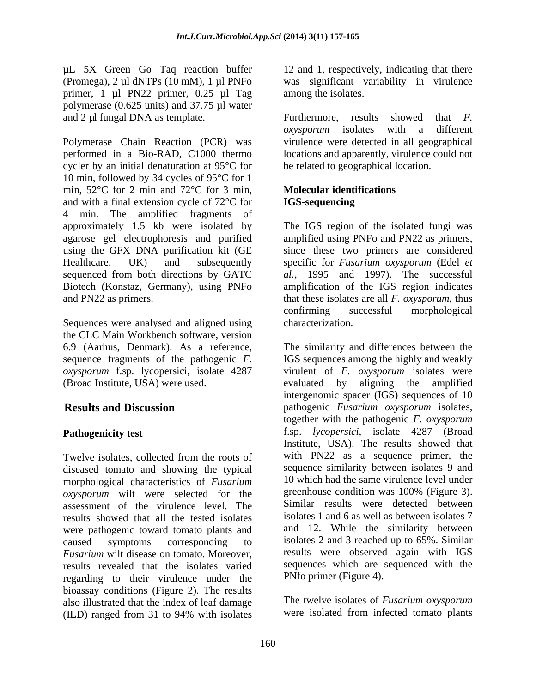µL 5X Green Go Taq reaction buffer primer, 1 µl PN22 primer, 0.25 µl Tag polymerase (0.625 units) and 37.75 µl water and 2 µl fungal DNA as template. Furthermore, results showed that F.

Polymerase Chain Reaction (PCR) was virulence were detected in all geographical performed in a Bio-RAD, C1000 thermo locations and apparently, virulence could not cycler by an initial denaturation at 95°C for 10 min, followed by 34 cycles of 95°C for 1 min, 52°C for 2 min and 72°C for 3 min, and with a final extension cycle of  $72^{\circ}$ C for **IGS-sequencing** 4 min. The amplified fragments of approximately 1.5 kb were isolated by approximately 1.5 kb were isolated by The IGS region of the isolated fungi was agarose gel electrophoresis and purified amplified using PNFo and PN22 as primers, using the GFX DNA purification kit (GE since these two primers are considered Healthcare, UK) and subsequently specific for *Fusarium oxysporum* (Edel *et*  sequenced from both directions by GATC *al.,* 1995 and 1997). The successful Biotech (Konstaz, Germany), using PNFo amplification of the IGS region indicates and PN22 as primers. that these isolates are all *F. oxysporum*, thus

Sequences were analysed and aligned using the CLC Main Workbench software, version

Twelve isolates, collected from the roots of diseased tomato and showing the typical morphological characteristics of *Fusarium* 10 which had the same virulence level under<br> *ary spectrum* wilt were selected for the greenhouse condition was 100% (Figure 3). *oxysporum* wilt were selected for the assessment of the virulence level. The results showed that all the tested isolates were pathogenic toward tomato plants and<br>caused symptoms corresponding to *Fusarium* wilt disease on tomato. Moreover, results revealed that the isolates varied regarding to their virulence under the bioassay conditions (Figure 2). The results also illustrated that the index of leaf damage (ILD) ranged from 31 to 94% with isolates

(Promega), 2 µl dNTPs (10 mM), 1 µl PNFo was significant variability in virulence 12 and 1, respectively, indicating that there among the isolates.

> Furthermore, results showed that *F. oxysporum* isolates with a different be related to geographical location.

### **Molecular identifications IGS-sequencing**

confirming successful morphological characterization.

6.9 (Aarhus, Denmark). As a reference, The similarity and differences between the sequence fragments of the pathogenic *F.*  IGS sequences among the highly and weakly *oxysporum* f.sp. lycopersici, isolate 4287 virulent of *F. oxysporum* isolates were (Broad Institute, USA) were used. evaluated by aligning the amplified **Results and Discussion** pathogenic *Fusarium oxysporum* isolates, **Pathogenicity test** exercise that the set of the set of the set of the set of the set of the set of the set of the set of the set of the set of the set of the set of the set of the set of the set of the set of the set of caused symptoms corresponding to isolates 2 and 3 reached up to 65%. Similar intergenomic spacer (IGS) sequences of 10 together with the pathogenic *F. oxysporum* Institute, USA). The results showed that with PN22 as a sequence primer, the sequence similarity between isolates 9 and 10 which had the same virulence level under greenhouse condition was 100% (Figure 3). Similar results were detected between isolates 1 and 6 as well as between isolates 7 and 12. While the similarity between results were observed again with IGS sequences which are sequenced with the PNfo primer (Figure 4).

> The twelve isolates of *Fusarium oxysporum* were isolated from infected tomato plants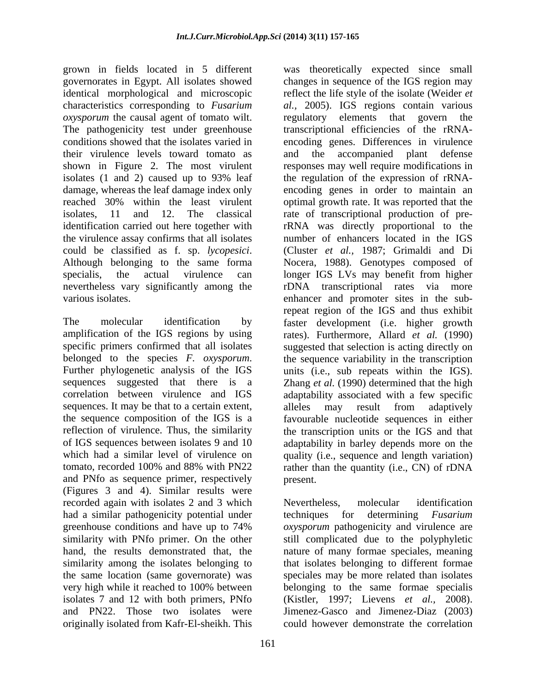governorates in Egypt. All isolates showed identical morphological and microscopic *oxysporum* the causal agent of tomato wilt. The regulatory elements that govern the The pathogenicity test under greenhouse<br>conditions showed that the isolates varied in their virulence levels toward tomato as shown in Figure 2. The most virulent the virulence assay confirms that all isolates nevertheless vary significantly among the

sequences. It may be that to a certain extent, alleles may result from adaptively and PNfo as sequence primer, respectively (Figures 3 and 4). Similar results were recorded again with isolates 2 and 3 which Nevertheless, molecular identification originally isolated from Kafr-El-sheikh. This

grown in fields located in 5 different was theoretically expected since small characteristics corresponding to *Fusarium al.,* 2005). IGS regions contain various conditions showed that the isolates varied in encoding genes. Differences in virulence isolates (1 and 2) caused up to 93% leaf the regulation of the expression of rRNA damage, whereas the leaf damage index only encoding genes in order to maintain an reached 30% within the least virulent optimal growth rate. It was reported that the isolates, 11 and 12. The classical rate of transcriptional production of preidentification carried out here together with rRNA was directly proportional to the could be classified as f. sp. *lycopesici*. (Cluster *et al.*, 1987; Grimaldi and Di<br>Although belonging to the same forma Nocera, 1988). Genotypes composed of specialis, the actual virulence can longer IGS LVs may benefit from higher various isolates. enhancer and promoter sites in the sub-The molecular identification by faster development (i.e. higher growth amplification of the IGS regions by using rates). Furthermore, Allard *et al.* (1990) specific primers confirmed that all isolates suggested that selection is acting directly on belonged to the species *F. oxysporum*. the sequence variability in the transcription Further phylogenetic analysis of the IGS units (i.e., sub repeats within the IGS). sequences suggested that there is a Zhang *et al.* (1990) determined that the high correlation between virulence and IGS adaptability associated with a few specific the sequence composition of the IGS is a favourable nucleotide sequences in either reflection of virulence. Thus, the similarity the transcription units or the IGS and that of IGS sequences between isolates 9 and 10 adaptability in barley depends more on the which had a similar level of virulence on quality (i.e., sequence and length variation) tomato, recorded 100% and 88% with PN22 rather than the quantity (i.e., CN) of rDNA changes in sequence of the IGS region may reflect the life style of the isolate (Weider *et*  regulatory elements that govern transcriptional efficiencies of the rRNA and the accompanied plant defense responses may well require modifications in number of enhancers located in the IGS (Cluster *et al.,* 1987; Grimaldi and Di Nocera, 1988). Genotypes composed of rDNA transcriptional rates via more repeat region of the IGS and thus exhibit the sequence variability in the transcription units (i.e., sub repeats within the IGS). alleles may result from adaptively present.

had a similar pathogenicity potential under techniques for determining *Fusarium* greenhouse conditions and have up to 74% *oxysporum* pathogenicity and virulence are similarity with PNfo primer. On the other still complicated due to the polyphyletic hand, the results demonstrated that, the nature of many formae speciales, meaning similarity among the isolates belonging to that isolates belonging to different formae the same location (same governorate) was speciales may be more related than isolates very high while it reached to 100% between belonging to the same formae specialis isolates 7 and 12 with both primers, PNfo (Kistler, 1997; Lievens *et al.,* 2008). and PN22. Those two isolates were Jimenez-Gasco and Jimenez-Diaz (2003) Nevertheless, molecular identification could however demonstrate the correlation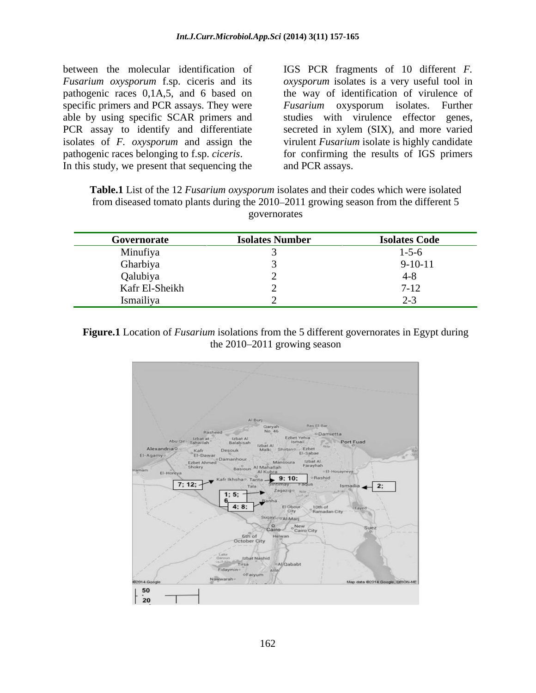between the molecular identification of IGS PCR fragments of 10 different *F. Fusarium oxysporum* f.sp. ciceris and its pathogenic races belonging to f.sp. *ciceris*. In this study, we present that sequencing the and PCR assays.

pathogenic races 0,1A,5, and 6 based on the way of identification of virulence of specific primers and PCR assays. They were *Fusarium* oxysporum isolates. Further able by using specific SCAR primers and studies with virulence effector genes, PCR assay to identify and differentiate secreted in xylem (SIX), and more varied isolates of *F. oxysporum* and assign the virulent *Fusarium* isolate is highly candidate *oxysporum* isolates is a very useful tool in for confirming the results of IGS primers and PCR assays.

| <b>Table.1</b> List of the 12 <i>H</i><br>2 <i>Fusarium oxysporum</i> isolates and their codes which were isolated |  |
|--------------------------------------------------------------------------------------------------------------------|--|
| from diseased tomato plants during the 2010–2011 growing season from the different 5                               |  |
| governorates                                                                                                       |  |

| Governorate                       | <b>Isolates Number</b> | <b>Isolates Code</b> |
|-----------------------------------|------------------------|----------------------|
| Minufiya                          |                        |                      |
| Gharbiya                          |                        | $9-10-11$            |
| Qalubiya                          |                        |                      |
| Kafr El-Sheikh                    |                        | $\sqrt{1}$           |
| $\sim$ $\sim$ $\sim$<br>Ismailiya |                        |                      |

**Figure.1** Location of *Fusarium* isolations from the 5 different governorates in Egypt during the  $2010 - 2011$  growing season

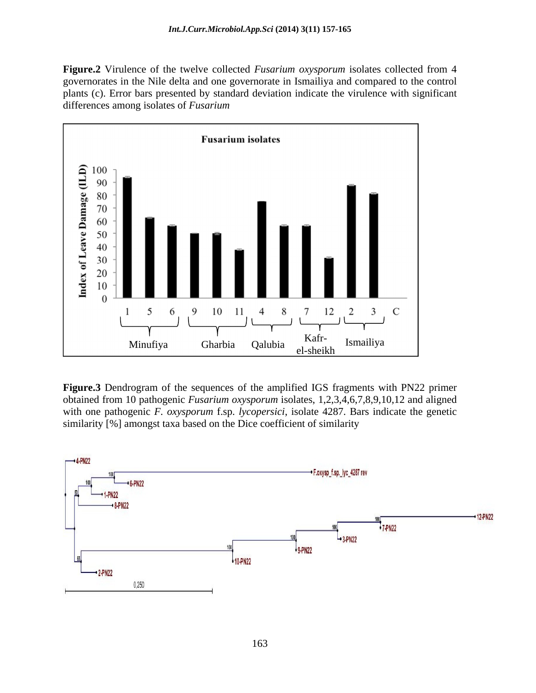**Figure.2** Virulence of the twelve collected *Fusarium oxysporum* isolates collected from 4 governorates in the Nile delta and one governorate in Ismailiya and compared to the control plants (c). Error bars presented by standard deviation indicate the virulence with significant differences among isolates of *Fusarium*



**Figure.3** Dendrogram of the sequences of the amplified IGS fragments with PN22 primer obtained from 10 pathogenic *Fusarium oxysporum* isolates, 1,2,3,4,6,7,8,9,10,12 and aligned with one pathogenic *F. oxysporum* f.sp. *lycopersici*, isolate 4287. Bars indicate the genetic similarity [%] amongst taxa based on the Dice coefficient of similarity Minufiya Gharbia Qalubia Kafr-<br>
El-sheikh<br>
El-sheikh<br>
El-sheikh<br>
El-sheikh<br>
El-sheikh<br>
El-sheikh<br>
El-sheikh<br>
El-sheikh<br>
El-sheikh<br>
El-sheikh<br>
El-sheikh<br>
With PN22 primer<br>
obtained from 10 pathogenic *Fusarium oxysporum* is

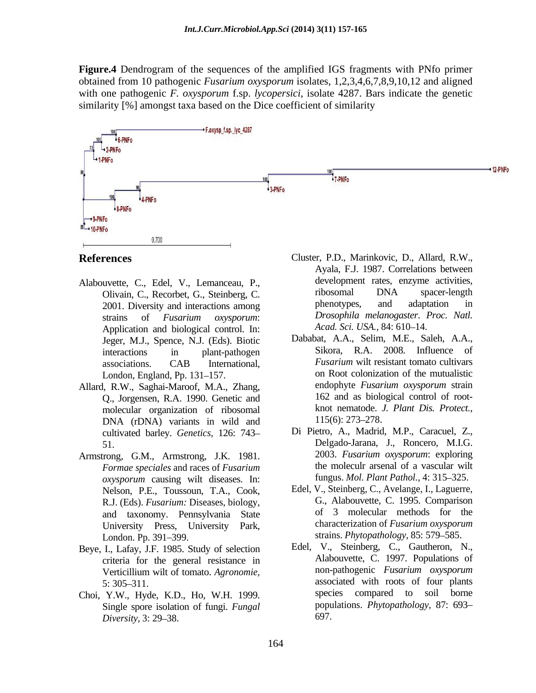**Figure.4** Dendrogram of the sequences of the amplified IGS fragments with PNfo primer obtained from 10 pathogenic *Fusarium oxysporum* isolates, 1,2,3,4,6,7,8,9,10,12 and aligned with one pathogenic *F. oxysporum* f.sp. *lycopersici*, isolate 4287. Bars indicate the genetic similarity [%] amongst taxa based on the Dice coefficient of similarity



- 2001. Diversity and interactions among Application and biological control. In:
- Allard, R.W., Saghai-Maroof, M.A., Zhang, Q., Jorgensen, R.A. 1990. Genetic and molecular organization of ribosomal knot nematode. J<br>DNA (rDNA) variants in wild and  $115(6)$ : 273–278. DNA (rDNA) variants in wild and  $115(6): 273-278$ . cultivated barley. *Genetics,* 126: 743
- *Formae speciales* and races of *Fusarium oxysporum* causing wilt diseases. In: Nelson, P.E., Toussoun, T.A., Cook, R.J. (Eds). *Fusarium:* Diseases, biology, University Press, University Park, London. Pp. 391–399. The Strains. Phytopathology, 85: 579–585.
- Beye, I., Lafay, J.F. 1985. Study of selection
- Choi, Y.W., Hyde, K.D., Ho, W.H. 1999. Single spore isolation of fungi. *Fungal Diversity, 3: 29–38.* 697.
- **References** Cluster, P.D., Marinkovic, D., Allard, R.W., Alabouvette, C., Edel, V., Lemanceau, P., development rates, enzyme activities,<br>Olivain C. Recorbet G. Steinberg C. Tibosomal DNA spacer-length Olivain, C., Recorbet, G., Steinberg, C. Tibosomal DNA spacer-length<br>
2001 Diversity and interactions among the phenotypes, and adaptation in strains of *Fusarium oxysporum*: Ayala, F.J. 1987. Correlations between development rates, enzyme activities, ribosomal DNA spacer-length phenotypes, and adaptation in *Drosophila melanogaster*. *Proc. Natl.* Acad. Sci. USA., 84: 610-14.
	- Jeger, M.J., Spence, N.J. (Eds). Biotic bababat, A.A., Selim, M.E., Saleh, A.A., interactions in plant-pathogen Sikora, R.A. 2008. Influence of interactions in plant-pathogen Sikora, R.A. 2008. Influence of associations. CAB International, *Fusarium* wilt resistant tomato cultivars London, England, Pp. 131–157. The on Root colonization of the mutualistic<br>
	H R W Saghai-Maroof M A Zhang<br>
	H R W Saghai-Maroof M A Zhang<br>
	H R W Saghai-Maroof M A Zhang<br>
	H R W Saghai-Maroof M A Zhang Dababat, A.A., Selim, M.E., Saleh, A.A., Sikora, R.A. 2008. Influence of *Fusarium* wilt resistant tomato cultivars on Root colonization of the mutualistic endophyte *Fusarium oxysporum* strain 162 and as biological control of root knot nematode. *J. Plant Dis. Protect.,*  $115(6)$ : 273–278.
- 51. Delgado-Jarana, J., Roncero, M.I.G. Armstrong, G.M., Armstrong, J.K. 1981. 2003. Fusarium oxysporum: exploring Di Pietro, A., Madrid, M.P., Caracuel, Z., 2003. *Fusarium oxysporum*: exploring the moleculr arsenal of a vascular wilt fungus. *Mol. Plant Pathol.*, 4: 315–325.
	- and taxonomy. Pennsylvania State of 3 molecular methods for the<br>University Press University Park characterization of *Fusarium oxysporum* Edel, V., Steinberg, C., Avelange, I., Laguerre, G., Alabouvette, C. 1995. Comparison of 3 molecular methods for the characterization of *Fusarium oxysporum* strains. *Phytopathology*, 85: 579–585.
	- criteria for the general resistance in Alabouvette, C. 1997. Populations of Verticillium will of tomato *Agronomie* non-pathogenic *Fusarium oxysporum* Verticillium wilt of tomato. *Agronomie,*  5: 305 311. associated with roots of four plants Edel, V., Steinberg, C., Gautheron, N., Alabouvette, C. 1997. Populations of non-pathogenic *Fusarium oxysporum* compared to soil borne populations. *Phytopathology,* 87: 693 697.